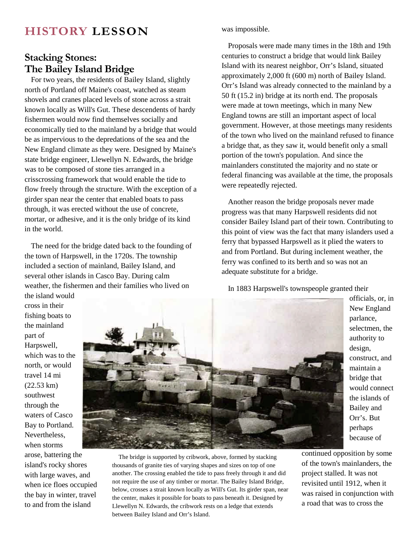## **HISTORY LESSON**

## **Stacking Stones: The Bailey Island Bridge**

For two years, the residents of Bailey Island, slightly north of Portland off Maine's coast, watched as steam shovels and cranes placed levels of stone across a strait known locally as Will's Gut. These descendents of hardy fishermen would now find themselves socially and economically tied to the mainland by a bridge that would be as impervious to the depredations of the sea and the New England climate as they were. Designed by Maine's state bridge engineer, Llewellyn N. Edwards, the bridge was to be composed of stone ties arranged in a crisscrossing framework that would enable the tide to flow freely through the structure. With the exception of a girder span near the center that enabled boats to pass through, it was erected without the use of concrete, mortar, or adhesive, and it is the only bridge of its kind in the world.

The need for the bridge dated back to the founding of the town of Harpswell, in the 1720s. The township included a section of mainland, Bailey Island, and several other islands in Casco Bay. During calm weather, the fishermen and their families who lived on

was impossible.

Proposals were made many times in the 18th and 19th centuries to construct a bridge that would link Bailey Island with its nearest neighbor, Orr's Island, situated approximately 2,000 ft (600 m) north of Bailey Island. Orr's Island was already connected to the mainland by a 50 ft (15.2 in) bridge at its north end. The proposals were made at town meetings, which in many New England towns are still an important aspect of local government. However, at those meetings many residents of the town who lived on the mainland refused to finance a bridge that, as they saw it, would benefit only a small portion of the town's population. And since the mainlanders constituted the majority and no state or federal financing was available at the time, the proposals were repeatedly rejected.

Another reason the bridge proposals never made progress was that many Harpswell residents did not consider Bailey Island part of their town. Contributing to this point of view was the fact that many islanders used a ferry that bypassed Harpswell as it plied the waters to and from Portland. But during inclement weather, the ferry was confined to its berth and so was not an adequate substitute for a bridge.

In 1883 Harpswell's townspeople granted their

the island would cross in their fishing boats to the mainland part of Harpswell, which was to the north, or would travel 14 mi (22.53 km) southwest through the waters of Casco Bay to Portland. Nevertheless, when storms

arose, battering the island's rocky shores with large waves, and when ice floes occupied the bay in winter, travel to and from the island



officials, or, in New England parlance, selectmen, the authority to design, construct, and maintain a bridge that would connect the islands of Bailey and Orr's. But perhaps because of

The bridge is supported by cribwork, above, formed by stacking thousands of granite ties of varying shapes and sizes on top of one another. The crossing enabled the tide to pass freely through it and did not require the use of any timber or mortar. The Bailey Island Bridge, below, crosses a strait known locally as Will's Gut. Its girder span, near the center, makes it possible for boats to pass beneath it. Designed by Llewellyn N. Edwards, the cribwork rests on a ledge that extends between Bailey Island and Orr's Island.

continued opposition by some of the town's mainlanders, the project stalled. It was not revisited until 1912, when it was raised in conjunction with a road that was to cross the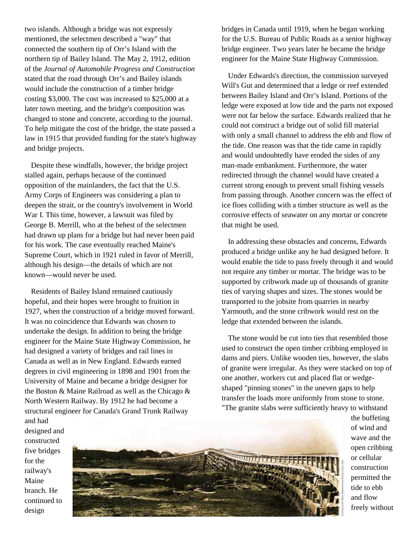two islands. Although a bridge was not expressly mentioned, the selectmen described a "way" that connected the southern tip of Orr's Island with the northern tip of Bailey Island. The May 2, 1912, edition of the *Journal of Automobile Progress and Construction* stated that the road through Orr's and Bailey islands would include the construction of a timber bridge costing \$3,000. The cost was increased to \$25,000 at a later town meeting, and the bridge's composition was changed to stone and concrete, according to the journal. To help mitigate the cost of the bridge, the state passed a law in 1915 that provided funding for the state's highway and bridge projects.

Despite these windfalls, however, the bridge project stalled again, perhaps because of the continued opposition of the mainlanders, the fact that the U.S. Army Corps of Engineers was considering a plan to deepen the strait, or the country's involvement in World War I. This time, however, a lawsuit was filed by George B. Merrill, who at the behest of the selectmen had drawn up plans for a bridge but had never been paid for his work. The case eventually reached Maine's Supreme Court, which in 1921 ruled in favor of Merrill, although his design—the details of which are not known—would never be used.

Residents of Bailey Island remained cautiously hopeful, and their hopes were brought to fruition in 1927, when the construction of a bridge moved forward. It was no coincidence that Edwards was chosen to undertake the design. In addition to being the bridge engineer for the Maine State Highway Commission, he had designed a variety of bridges and rail lines in Canada as well as in New England. Edwards earned degrees in civil engineering in 1898 and 1901 from the University of Maine and became a bridge designer for the Boston & Maine Railroad as well as the Chicago & North Western Railway. By 1912 he had become a structural engineer for Canada's Grand Trunk Railway and had

bridges in Canada until 1919, when he began working for the U.S. Bureau of Public Roads as a senior highway bridge engineer. Two years later he became the bridge engineer for the Maine State Highway Commission.

Under Edwards's direction, the commission surveyed Will's Gut and determined that a ledge or reef extended between Bailey Island and Orr's Island. Portions of the ledge were exposed at low tide and the parts not exposed were not far below the surface. Edwards realized that he could not construct a bridge out of solid fill material with only a small channel to address the ebb and flow of the tide. One reason was that the tide came in rapidly and would undoubtedly have eroded the sides of any man-made embankment. Furthermore, the water redirected through the channel would have created a current strong enough to prevent small fishing vessels from passing through. Another concern was the effect of ice floes colliding with a timber structure as well as the corrosive effects of seawater on any mortar or concrete that might be used.

In addressing these obstacles and concerns, Edwards produced a bridge unlike any he had designed before. It would enable the tide to pass freely through it and would not require any timber or mortar. The bridge was to be supported by cribwork made up of thousands of granite ties of varying shapes and sizes. The stones would be transported to the jobsite from quarries in nearby Yarmouth, and the stone cribwork would rest on the ledge that extended between the islands.

The stone would be cut into ties that resembled those used to construct the open timber cribbing employed in dams and piers. Unlike wooden ties, however, the slabs of granite were irregular. As they were stacked on top of one another, workers cut and placed flat or wedgeshaped "pinning stones" in the uneven gaps to help transfer the loads more uniformly from stone to stone. "The granite slabs were sufficiently heavy to withstand

designed and constructed five bridges for the railway's Maine branch. He continued to design



the buffeting of wind and wave and the open cribbing or cellular construction permitted the tide to ebb and flow freely without